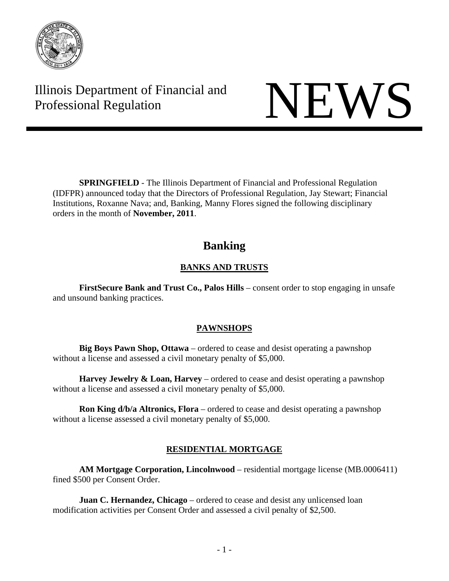

Illinois Department of Financial and Illinois Department of Financial and<br>Professional Regulation

**SPRINGFIELD** - The Illinois Department of Financial and Professional Regulation (IDFPR) announced today that the Directors of Professional Regulation, Jay Stewart; Financial Institutions, Roxanne Nava; and, Banking, Manny Flores signed the following disciplinary orders in the month of **November, 2011**.

# **Banking**

# **BANKS AND TRUSTS**

**FirstSecure Bank and Trust Co., Palos Hills** – consent order to stop engaging in unsafe and unsound banking practices.

# **PAWNSHOPS**

**Big Boys Pawn Shop, Ottawa** – ordered to cease and desist operating a pawnshop without a license and assessed a civil monetary penalty of \$5,000.

**Harvey Jewelry & Loan, Harvey** – ordered to cease and desist operating a pawnshop without a license and assessed a civil monetary penalty of \$5,000.

**Ron King d/b/a Altronics, Flora** – ordered to cease and desist operating a pawnshop without a license assessed a civil monetary penalty of \$5,000.

# **RESIDENTIAL MORTGAGE**

**AM Mortgage Corporation, Lincolnwood** – residential mortgage license (MB.0006411) fined \$500 per Consent Order.

**Juan C. Hernandez, Chicago** – ordered to cease and desist any unlicensed loan modification activities per Consent Order and assessed a civil penalty of \$2,500.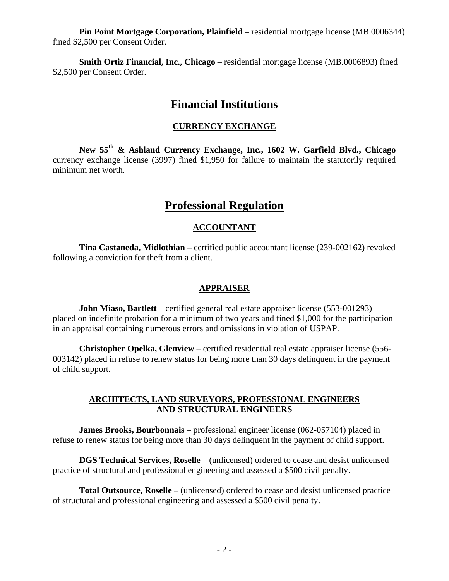**Pin Point Mortgage Corporation, Plainfield** – residential mortgage license (MB.0006344) fined \$2,500 per Consent Order.

**Smith Ortiz Financial, Inc., Chicago** – residential mortgage license (MB.0006893) fined \$2,500 per Consent Order.

# **Financial Institutions**

#### **CURRENCY EXCHANGE**

**New 55th & Ashland Currency Exchange, Inc., 1602 W. Garfield Blvd., Chicago**  currency exchange license (3997) fined \$1,950 for failure to maintain the statutorily required minimum net worth.

# **Professional Regulation**

## **ACCOUNTANT**

 **Tina Castaneda, Midlothian** – certified public accountant license (239-002162) revoked following a conviction for theft from a client.

#### **APPRAISER**

**John Miaso, Bartlett** – certified general real estate appraiser license (553-001293) placed on indefinite probation for a minimum of two years and fined \$1,000 for the participation in an appraisal containing numerous errors and omissions in violation of USPAP.

 **Christopher Opelka, Glenview** – certified residential real estate appraiser license (556- 003142) placed in refuse to renew status for being more than 30 days delinquent in the payment of child support.

#### **ARCHITECTS, LAND SURVEYORS, PROFESSIONAL ENGINEERS AND STRUCTURAL ENGINEERS**

 **James Brooks, Bourbonnais** – professional engineer license (062-057104) placed in refuse to renew status for being more than 30 days delinquent in the payment of child support.

 **DGS Technical Services, Roselle** – (unlicensed) ordered to cease and desist unlicensed practice of structural and professional engineering and assessed a \$500 civil penalty.

 **Total Outsource, Roselle** – (unlicensed) ordered to cease and desist unlicensed practice of structural and professional engineering and assessed a \$500 civil penalty.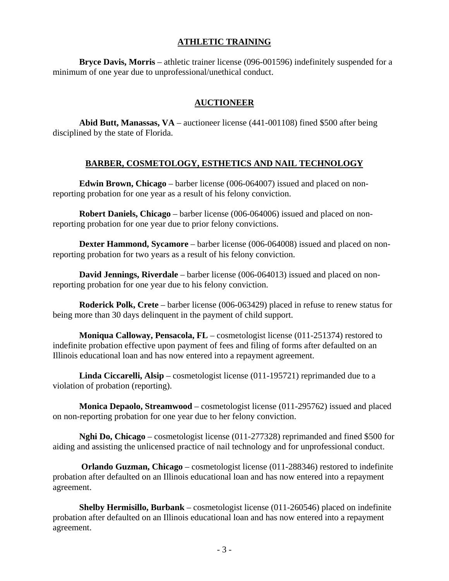#### **ATHLETIC TRAINING**

 **Bryce Davis, Morris** – athletic trainer license (096-001596) indefinitely suspended for a minimum of one year due to unprofessional/unethical conduct.

## **AUCTIONEER**

 **Abid Butt, Manassas, VA** – auctioneer license (441-001108) fined \$500 after being disciplined by the state of Florida.

# **BARBER, COSMETOLOGY, ESTHETICS AND NAIL TECHNOLOGY**

 **Edwin Brown, Chicago** – barber license (006-064007) issued and placed on nonreporting probation for one year as a result of his felony conviction.

 **Robert Daniels, Chicago** – barber license (006-064006) issued and placed on nonreporting probation for one year due to prior felony convictions.

 **Dexter Hammond, Sycamore** – barber license (006-064008) issued and placed on nonreporting probation for two years as a result of his felony conviction.

 **David Jennings, Riverdale** – barber license (006-064013) issued and placed on nonreporting probation for one year due to his felony conviction.

 **Roderick Polk, Crete** – barber license (006-063429) placed in refuse to renew status for being more than 30 days delinquent in the payment of child support.

 **Moniqua Calloway, Pensacola, FL** – cosmetologist license (011-251374) restored to indefinite probation effective upon payment of fees and filing of forms after defaulted on an Illinois educational loan and has now entered into a repayment agreement.

 **Linda Ciccarelli, Alsip** – cosmetologist license (011-195721) reprimanded due to a violation of probation (reporting).

 **Monica Depaolo, Streamwood** – cosmetologist license (011-295762) issued and placed on non-reporting probation for one year due to her felony conviction.

 **Nghi Do, Chicago** – cosmetologist license (011-277328) reprimanded and fined \$500 for aiding and assisting the unlicensed practice of nail technology and for unprofessional conduct.

 **Orlando Guzman, Chicago** – cosmetologist license (011-288346) restored to indefinite probation after defaulted on an Illinois educational loan and has now entered into a repayment agreement.

 **Shelby Hermisillo, Burbank** – cosmetologist license (011-260546) placed on indefinite probation after defaulted on an Illinois educational loan and has now entered into a repayment agreement.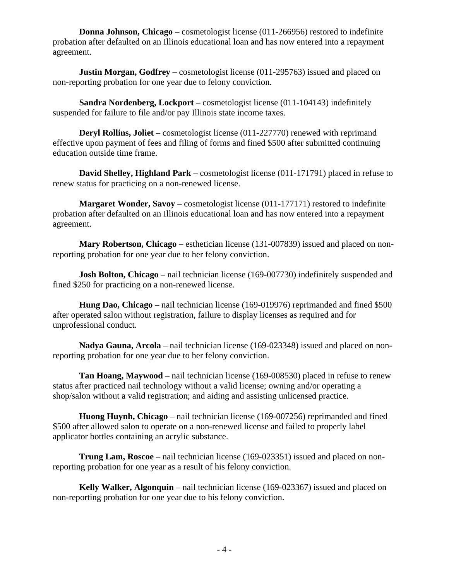**Donna Johnson, Chicago** – cosmetologist license (011-266956) restored to indefinite probation after defaulted on an Illinois educational loan and has now entered into a repayment agreement.

**Justin Morgan, Godfrey** – cosmetologist license (011-295763) issued and placed on non-reporting probation for one year due to felony conviction.

 **Sandra Nordenberg, Lockport** – cosmetologist license (011-104143) indefinitely suspended for failure to file and/or pay Illinois state income taxes.

**Deryl Rollins, Joliet** – cosmetologist license (011-227770) renewed with reprimand effective upon payment of fees and filing of forms and fined \$500 after submitted continuing education outside time frame.

 **David Shelley, Highland Park** – cosmetologist license (011-171791) placed in refuse to renew status for practicing on a non-renewed license.

**Margaret Wonder, Savoy** – cosmetologist license (011-177171) restored to indefinite probation after defaulted on an Illinois educational loan and has now entered into a repayment agreement.

 **Mary Robertson, Chicago** – esthetician license (131-007839) issued and placed on nonreporting probation for one year due to her felony conviction.

**Josh Bolton, Chicago** – nail technician license (169-007730) indefinitely suspended and fined \$250 for practicing on a non-renewed license.

 **Hung Dao, Chicago** – nail technician license (169-019976) reprimanded and fined \$500 after operated salon without registration, failure to display licenses as required and for unprofessional conduct.

 **Nadya Gauna, Arcola** – nail technician license (169-023348) issued and placed on nonreporting probation for one year due to her felony conviction.

**Tan Hoang, Maywood** – nail technician license (169-008530) placed in refuse to renew status after practiced nail technology without a valid license; owning and/or operating a shop/salon without a valid registration; and aiding and assisting unlicensed practice.

 **Huong Huynh, Chicago** – nail technician license (169-007256) reprimanded and fined \$500 after allowed salon to operate on a non-renewed license and failed to properly label applicator bottles containing an acrylic substance.

 **Trung Lam, Roscoe** – nail technician license (169-023351) issued and placed on nonreporting probation for one year as a result of his felony conviction.

 **Kelly Walker, Algonquin** – nail technician license (169-023367) issued and placed on non-reporting probation for one year due to his felony conviction.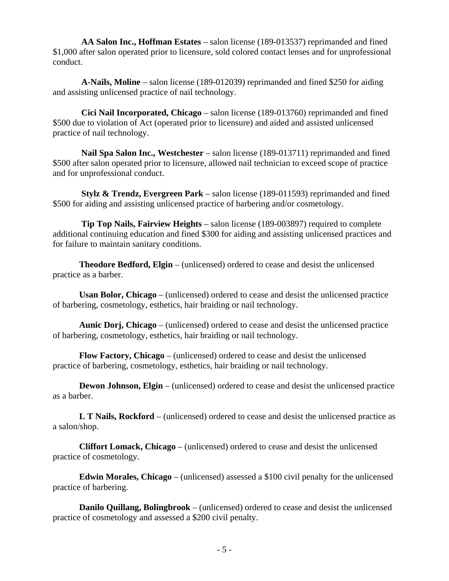**AA Salon Inc., Hoffman Estates** – salon license (189-013537) reprimanded and fined \$1,000 after salon operated prior to licensure, sold colored contact lenses and for unprofessional conduct.

 **A-Nails, Moline** – salon license (189-012039) reprimanded and fined \$250 for aiding and assisting unlicensed practice of nail technology.

 **Cici Nail Incorporated, Chicago** – salon license (189-013760) reprimanded and fined \$500 due to violation of Act (operated prior to licensure) and aided and assisted unlicensed practice of nail technology.

 **Nail Spa Salon Inc., Westchester** – salon license (189-013711) reprimanded and fined \$500 after salon operated prior to licensure, allowed nail technician to exceed scope of practice and for unprofessional conduct.

 **Stylz & Trendz, Evergreen Park** – salon license (189-011593) reprimanded and fined \$500 for aiding and assisting unlicensed practice of barbering and/or cosmetology.

 **Tip Top Nails, Fairview Heights** – salon license (189-003897) required to complete additional continuing education and fined \$300 for aiding and assisting unlicensed practices and for failure to maintain sanitary conditions.

 **Theodore Bedford, Elgin** – (unlicensed) ordered to cease and desist the unlicensed practice as a barber.

 **Usan Bolor, Chicago** – (unlicensed) ordered to cease and desist the unlicensed practice of barbering, cosmetology, esthetics, hair braiding or nail technology.

 **Aunic Dorj, Chicago** – (unlicensed) ordered to cease and desist the unlicensed practice of barbering, cosmetology, esthetics, hair braiding or nail technology.

 **Flow Factory, Chicago** – (unlicensed) ordered to cease and desist the unlicensed practice of barbering, cosmetology, esthetics, hair braiding or nail technology.

**Dewon Johnson, Elgin** – (unlicensed) ordered to cease and desist the unlicensed practice as a barber.

 **L T Nails, Rockford** – (unlicensed) ordered to cease and desist the unlicensed practice as a salon/shop.

 **Cliffort Lomack, Chicago** – (unlicensed) ordered to cease and desist the unlicensed practice of cosmetology.

 **Edwin Morales, Chicago** – (unlicensed) assessed a \$100 civil penalty for the unlicensed practice of barbering.

 **Danilo Quillang, Bolingbrook** – (unlicensed) ordered to cease and desist the unlicensed practice of cosmetology and assessed a \$200 civil penalty.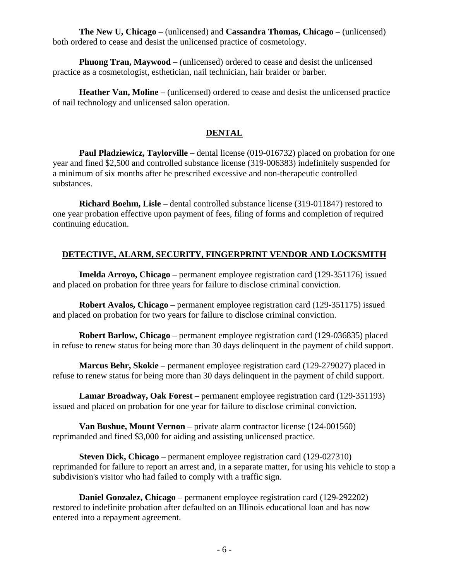**The New U, Chicago** – (unlicensed) and **Cassandra Thomas, Chicago** – (unlicensed) both ordered to cease and desist the unlicensed practice of cosmetology.

 **Phuong Tran, Maywood** – (unlicensed) ordered to cease and desist the unlicensed practice as a cosmetologist, esthetician, nail technician, hair braider or barber.

 **Heather Van, Moline** – (unlicensed) ordered to cease and desist the unlicensed practice of nail technology and unlicensed salon operation.

# **DENTAL**

 **Paul Pladziewicz, Taylorville** – dental license (019-016732) placed on probation for one year and fined \$2,500 and controlled substance license (319-006383) indefinitely suspended for a minimum of six months after he prescribed excessive and non-therapeutic controlled substances.

 **Richard Boehm, Lisle** – dental controlled substance license (319-011847) restored to one year probation effective upon payment of fees, filing of forms and completion of required continuing education.

# **DETECTIVE, ALARM, SECURITY, FINGERPRINT VENDOR AND LOCKSMITH**

 **Imelda Arroyo, Chicago** – permanent employee registration card (129-351176) issued and placed on probation for three years for failure to disclose criminal conviction.

 **Robert Avalos, Chicago** – permanent employee registration card (129-351175) issued and placed on probation for two years for failure to disclose criminal conviction.

 **Robert Barlow, Chicago** – permanent employee registration card (129-036835) placed in refuse to renew status for being more than 30 days delinquent in the payment of child support.

 **Marcus Behr, Skokie** – permanent employee registration card (129-279027) placed in refuse to renew status for being more than 30 days delinquent in the payment of child support.

 **Lamar Broadway, Oak Forest** – permanent employee registration card (129-351193) issued and placed on probation for one year for failure to disclose criminal conviction.

 **Van Bushue, Mount Vernon** – private alarm contractor license (124-001560) reprimanded and fined \$3,000 for aiding and assisting unlicensed practice.

 **Steven Dick, Chicago** – permanent employee registration card (129-027310) reprimanded for failure to report an arrest and, in a separate matter, for using his vehicle to stop a subdivision's visitor who had failed to comply with a traffic sign.

 **Daniel Gonzalez, Chicago** – permanent employee registration card (129-292202) restored to indefinite probation after defaulted on an Illinois educational loan and has now entered into a repayment agreement.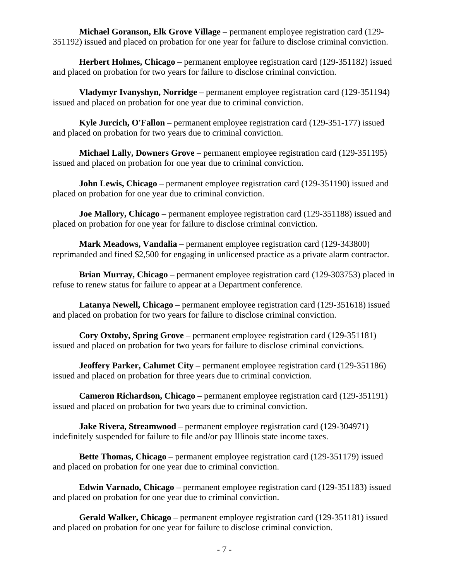**Michael Goranson, Elk Grove Village** – permanent employee registration card (129- 351192) issued and placed on probation for one year for failure to disclose criminal conviction.

 **Herbert Holmes, Chicago** – permanent employee registration card (129-351182) issued and placed on probation for two years for failure to disclose criminal conviction.

 **Vladymyr Ivanyshyn, Norridge** – permanent employee registration card (129-351194) issued and placed on probation for one year due to criminal conviction.

 **Kyle Jurcich, O'Fallon** – permanent employee registration card (129-351-177) issued and placed on probation for two years due to criminal conviction.

 **Michael Lally, Downers Grove** – permanent employee registration card (129-351195) issued and placed on probation for one year due to criminal conviction.

**John Lewis, Chicago** – permanent employee registration card (129-351190) issued and placed on probation for one year due to criminal conviction.

**Joe Mallory, Chicago** – permanent employee registration card (129-351188) issued and placed on probation for one year for failure to disclose criminal conviction.

 **Mark Meadows, Vandalia** – permanent employee registration card (129-343800) reprimanded and fined \$2,500 for engaging in unlicensed practice as a private alarm contractor.

 **Brian Murray, Chicago** – permanent employee registration card (129-303753) placed in refuse to renew status for failure to appear at a Department conference.

 **Latanya Newell, Chicago** – permanent employee registration card (129-351618) issued and placed on probation for two years for failure to disclose criminal conviction.

 **Cory Oxtoby, Spring Grove** – permanent employee registration card (129-351181) issued and placed on probation for two years for failure to disclose criminal convictions.

**Jeoffery Parker, Calumet City** – permanent employee registration card (129-351186) issued and placed on probation for three years due to criminal conviction.

 **Cameron Richardson, Chicago** – permanent employee registration card (129-351191) issued and placed on probation for two years due to criminal conviction.

**Jake Rivera, Streamwood** – permanent employee registration card (129-304971) indefinitely suspended for failure to file and/or pay Illinois state income taxes.

 **Bette Thomas, Chicago** – permanent employee registration card (129-351179) issued and placed on probation for one year due to criminal conviction.

 **Edwin Varnado, Chicago** – permanent employee registration card (129-351183) issued and placed on probation for one year due to criminal conviction.

 **Gerald Walker, Chicago** – permanent employee registration card (129-351181) issued and placed on probation for one year for failure to disclose criminal conviction.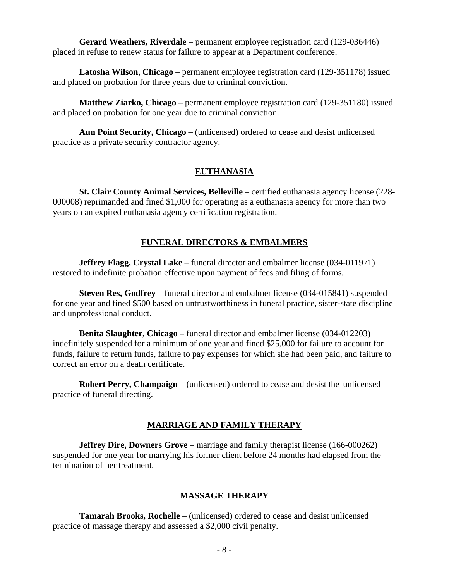**Gerard Weathers, Riverdale** – permanent employee registration card (129-036446) placed in refuse to renew status for failure to appear at a Department conference.

 **Latosha Wilson, Chicago** – permanent employee registration card (129-351178) issued and placed on probation for three years due to criminal conviction.

 **Matthew Ziarko, Chicago** – permanent employee registration card (129-351180) issued and placed on probation for one year due to criminal conviction.

 **Aun Point Security, Chicago** – (unlicensed) ordered to cease and desist unlicensed practice as a private security contractor agency.

## **EUTHANASIA**

 **St. Clair County Animal Services, Belleville** – certified euthanasia agency license (228- 000008) reprimanded and fined \$1,000 for operating as a euthanasia agency for more than two years on an expired euthanasia agency certification registration.

## **FUNERAL DIRECTORS & EMBALMERS**

**Jeffrey Flagg, Crystal Lake** – funeral director and embalmer license (034-011971) restored to indefinite probation effective upon payment of fees and filing of forms.

 **Steven Res, Godfrey** – funeral director and embalmer license (034-015841) suspended for one year and fined \$500 based on untrustworthiness in funeral practice, sister-state discipline and unprofessional conduct.

 **Benita Slaughter, Chicago** – funeral director and embalmer license (034-012203) indefinitely suspended for a minimum of one year and fined \$25,000 for failure to account for funds, failure to return funds, failure to pay expenses for which she had been paid, and failure to correct an error on a death certificate.

 **Robert Perry, Champaign** – (unlicensed) ordered to cease and desist the unlicensed practice of funeral directing.

## **MARRIAGE AND FAMILY THERAPY**

 **Jeffrey Dire, Downers Grove** – marriage and family therapist license (166-000262) suspended for one year for marrying his former client before 24 months had elapsed from the termination of her treatment.

## **MASSAGE THERAPY**

 **Tamarah Brooks, Rochelle** – (unlicensed) ordered to cease and desist unlicensed practice of massage therapy and assessed a \$2,000 civil penalty.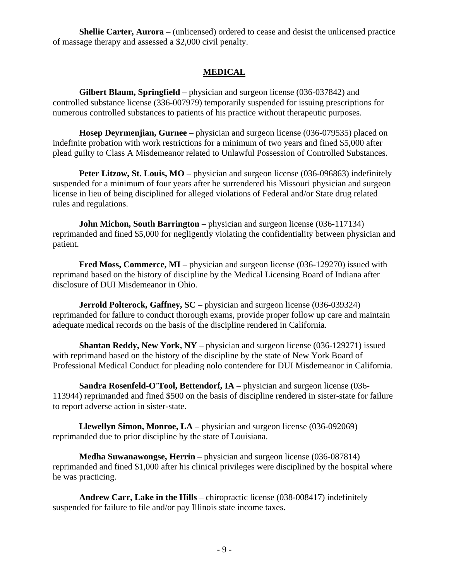**Shellie Carter, Aurora** – (unlicensed) ordered to cease and desist the unlicensed practice of massage therapy and assessed a \$2,000 civil penalty.

# **MEDICAL**

 **Gilbert Blaum, Springfield** – physician and surgeon license (036-037842) and controlled substance license (336-007979) temporarily suspended for issuing prescriptions for numerous controlled substances to patients of his practice without therapeutic purposes.

 **Hosep Deyrmenjian, Gurnee** – physician and surgeon license (036-079535) placed on indefinite probation with work restrictions for a minimum of two years and fined \$5,000 after plead guilty to Class A Misdemeanor related to Unlawful Possession of Controlled Substances.

**Peter Litzow, St. Louis, MO** – physician and surgeon license (036-096863) indefinitely suspended for a minimum of four years after he surrendered his Missouri physician and surgeon license in lieu of being disciplined for alleged violations of Federal and/or State drug related rules and regulations.

**John Michon, South Barrington** – physician and surgeon license (036-117134) reprimanded and fined \$5,000 for negligently violating the confidentiality between physician and patient.

**Fred Moss, Commerce, MI** – physician and surgeon license (036-129270) issued with reprimand based on the history of discipline by the Medical Licensing Board of Indiana after disclosure of DUI Misdemeanor in Ohio.

**Jerrold Polterock, Gaffney, SC** – physician and surgeon license (036-039324) reprimanded for failure to conduct thorough exams, provide proper follow up care and maintain adequate medical records on the basis of the discipline rendered in California.

 **Shantan Reddy, New York, NY** – physician and surgeon license (036-129271) issued with reprimand based on the history of the discipline by the state of New York Board of Professional Medical Conduct for pleading nolo contendere for DUI Misdemeanor in California.

 **Sandra Rosenfeld-O'Tool, Bettendorf, IA** – physician and surgeon license (036- 113944) reprimanded and fined \$500 on the basis of discipline rendered in sister-state for failure to report adverse action in sister-state.

 **Llewellyn Simon, Monroe, LA** – physician and surgeon license (036-092069) reprimanded due to prior discipline by the state of Louisiana.

 **Medha Suwanawongse, Herrin** – physician and surgeon license (036-087814) reprimanded and fined \$1,000 after his clinical privileges were disciplined by the hospital where he was practicing.

 **Andrew Carr, Lake in the Hills** – chiropractic license (038-008417) indefinitely suspended for failure to file and/or pay Illinois state income taxes.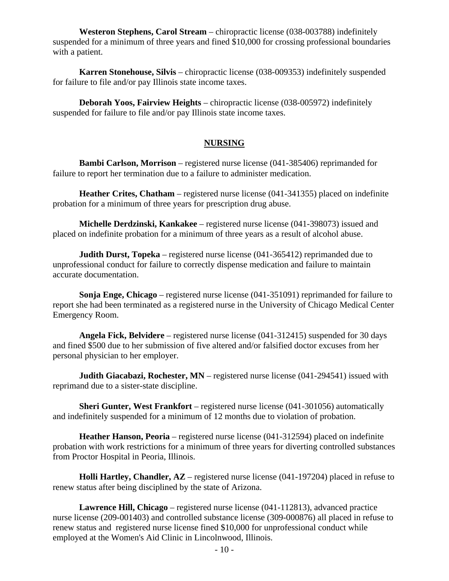**Westeron Stephens, Carol Stream** – chiropractic license (038-003788) indefinitely suspended for a minimum of three years and fined \$10,000 for crossing professional boundaries with a patient.

 **Karren Stonehouse, Silvis** – chiropractic license (038-009353) indefinitely suspended for failure to file and/or pay Illinois state income taxes.

 **Deborah Yoos, Fairview Heights** – chiropractic license (038-005972) indefinitely suspended for failure to file and/or pay Illinois state income taxes.

#### **NURSING**

 **Bambi Carlson, Morrison** – registered nurse license (041-385406) reprimanded for failure to report her termination due to a failure to administer medication.

**Heather Crites, Chatham** – registered nurse license (041-341355) placed on indefinite probation for a minimum of three years for prescription drug abuse.

 **Michelle Derdzinski, Kankakee** – registered nurse license (041-398073) issued and placed on indefinite probation for a minimum of three years as a result of alcohol abuse.

**Judith Durst, Topeka** – registered nurse license (041-365412) reprimanded due to unprofessional conduct for failure to correctly dispense medication and failure to maintain accurate documentation.

 **Sonja Enge, Chicago** – registered nurse license (041-351091) reprimanded for failure to report she had been terminated as a registered nurse in the University of Chicago Medical Center Emergency Room.

 **Angela Fick, Belvidere** – registered nurse license (041-312415) suspended for 30 days and fined \$500 due to her submission of five altered and/or falsified doctor excuses from her personal physician to her employer.

**Judith Giacabazi, Rochester, MN** – registered nurse license (041-294541) issued with reprimand due to a sister-state discipline.

 **Sheri Gunter, West Frankfort** – registered nurse license (041-301056) automatically and indefinitely suspended for a minimum of 12 months due to violation of probation.

 **Heather Hanson, Peoria** – registered nurse license (041-312594) placed on indefinite probation with work restrictions for a minimum of three years for diverting controlled substances from Proctor Hospital in Peoria, Illinois.

 **Holli Hartley, Chandler, AZ** – registered nurse license (041-197204) placed in refuse to renew status after being disciplined by the state of Arizona.

 **Lawrence Hill, Chicago** – registered nurse license (041-112813), advanced practice nurse license (209-001403) and controlled substance license (309-000876) all placed in refuse to renew status and registered nurse license fined \$10,000 for unprofessional conduct while employed at the Women's Aid Clinic in Lincolnwood, Illinois.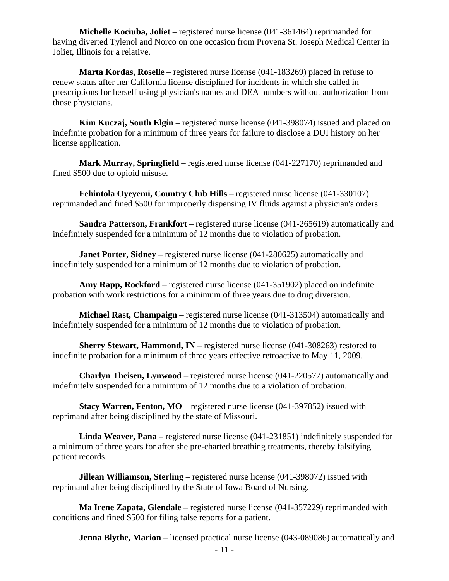**Michelle Kociuba, Joliet** – registered nurse license (041-361464) reprimanded for having diverted Tylenol and Norco on one occasion from Provena St. Joseph Medical Center in Joliet, Illinois for a relative.

 **Marta Kordas, Roselle** – registered nurse license (041-183269) placed in refuse to renew status after her California license disciplined for incidents in which she called in prescriptions for herself using physician's names and DEA numbers without authorization from those physicians.

 **Kim Kuczaj, South Elgin** – registered nurse license (041-398074) issued and placed on indefinite probation for a minimum of three years for failure to disclose a DUI history on her license application.

 **Mark Murray, Springfield** – registered nurse license (041-227170) reprimanded and fined \$500 due to opioid misuse.

 **Fehintola Oyeyemi, Country Club Hills** – registered nurse license (041-330107) reprimanded and fined \$500 for improperly dispensing IV fluids against a physician's orders.

 **Sandra Patterson, Frankfort** – registered nurse license (041-265619) automatically and indefinitely suspended for a minimum of 12 months due to violation of probation.

**Janet Porter, Sidney** – registered nurse license (041-280625) automatically and indefinitely suspended for a minimum of 12 months due to violation of probation.

 **Amy Rapp, Rockford** – registered nurse license (041-351902) placed on indefinite probation with work restrictions for a minimum of three years due to drug diversion.

 **Michael Rast, Champaign** – registered nurse license (041-313504) automatically and indefinitely suspended for a minimum of 12 months due to violation of probation.

**Sherry Stewart, Hammond, IN** – registered nurse license (041-308263) restored to indefinite probation for a minimum of three years effective retroactive to May 11, 2009.

 **Charlyn Theisen, Lynwood** – registered nurse license (041-220577) automatically and indefinitely suspended for a minimum of 12 months due to a violation of probation.

**Stacy Warren, Fenton, MO** – registered nurse license (041-397852) issued with reprimand after being disciplined by the state of Missouri.

 **Linda Weaver, Pana** – registered nurse license (041-231851) indefinitely suspended for a minimum of three years for after she pre-charted breathing treatments, thereby falsifying patient records.

**Jillean Williamson, Sterling** – registered nurse license (041-398072) issued with reprimand after being disciplined by the State of Iowa Board of Nursing.

 **Ma Irene Zapata, Glendale** – registered nurse license (041-357229) reprimanded with conditions and fined \$500 for filing false reports for a patient.

**Jenna Blythe, Marion** – licensed practical nurse license (043-089086) automatically and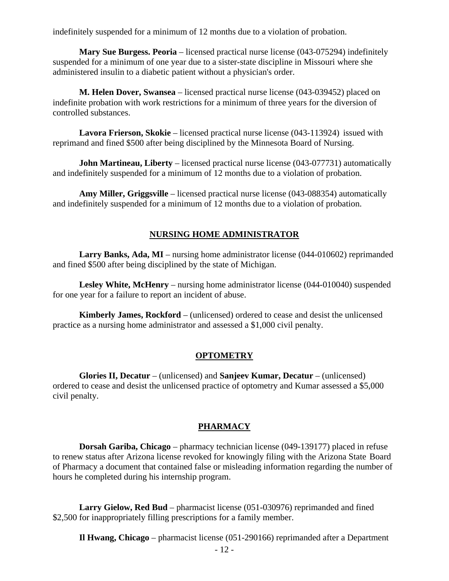indefinitely suspended for a minimum of 12 months due to a violation of probation.

**Mary Sue Burgess. Peoria** – licensed practical nurse license (043-075294) indefinitely suspended for a minimum of one year due to a sister-state discipline in Missouri where she administered insulin to a diabetic patient without a physician's order.

 **M. Helen Dover, Swansea** – licensed practical nurse license (043-039452) placed on indefinite probation with work restrictions for a minimum of three years for the diversion of controlled substances.

 **Lavora Frierson, Skokie** – licensed practical nurse license (043-113924) issued with reprimand and fined \$500 after being disciplined by the Minnesota Board of Nursing.

**John Martineau, Liberty** – licensed practical nurse license (043-077731) automatically and indefinitely suspended for a minimum of 12 months due to a violation of probation.

 **Amy Miller, Griggsville** – licensed practical nurse license (043-088354) automatically and indefinitely suspended for a minimum of 12 months due to a violation of probation.

#### **NURSING HOME ADMINISTRATOR**

 **Larry Banks, Ada, MI** – nursing home administrator license (044-010602) reprimanded and fined \$500 after being disciplined by the state of Michigan.

**Lesley White, McHenry** – nursing home administrator license (044-010040) suspended for one year for a failure to report an incident of abuse.

 **Kimberly James, Rockford** – (unlicensed) ordered to cease and desist the unlicensed practice as a nursing home administrator and assessed a \$1,000 civil penalty.

#### **OPTOMETRY**

 **Glories II, Decatur** – (unlicensed) and **Sanjeev Kumar, Decatur** – (unlicensed) ordered to cease and desist the unlicensed practice of optometry and Kumar assessed a \$5,000 civil penalty.

#### **PHARMACY**

 **Dorsah Gariba, Chicago** – pharmacy technician license (049-139177) placed in refuse to renew status after Arizona license revoked for knowingly filing with the Arizona State Board of Pharmacy a document that contained false or misleading information regarding the number of hours he completed during his internship program.

 **Larry Gielow, Red Bud** – pharmacist license (051-030976) reprimanded and fined \$2,500 for inappropriately filling prescriptions for a family member.

**Il Hwang, Chicago** – pharmacist license (051-290166) reprimanded after a Department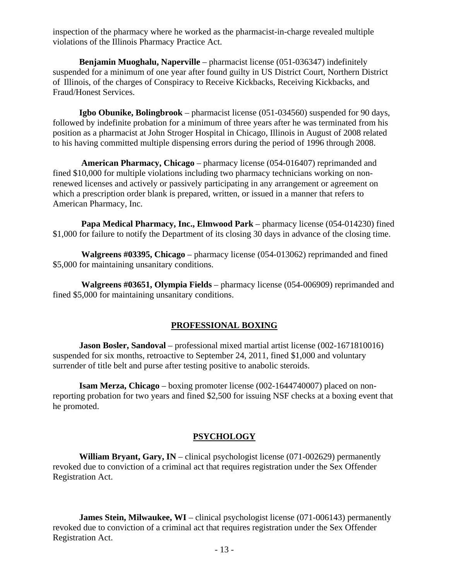inspection of the pharmacy where he worked as the pharmacist-in-charge revealed multiple violations of the Illinois Pharmacy Practice Act.

 **Benjamin Muoghalu, Naperville** – pharmacist license (051-036347) indefinitely suspended for a minimum of one year after found guilty in US District Court, Northern District of Illinois, of the charges of Conspiracy to Receive Kickbacks, Receiving Kickbacks, and Fraud/Honest Services.

 **Igbo Obunike, Bolingbrook** – pharmacist license (051-034560) suspended for 90 days, followed by indefinite probation for a minimum of three years after he was terminated from his position as a pharmacist at John Stroger Hospital in Chicago, Illinois in August of 2008 related to his having committed multiple dispensing errors during the period of 1996 through 2008.

 **American Pharmacy, Chicago** – pharmacy license (054-016407) reprimanded and fined \$10,000 for multiple violations including two pharmacy technicians working on nonrenewed licenses and actively or passively participating in any arrangement or agreement on which a prescription order blank is prepared, written, or issued in a manner that refers to American Pharmacy, Inc.

 **Papa Medical Pharmacy, Inc., Elmwood Park** – pharmacy license (054-014230) fined \$1,000 for failure to notify the Department of its closing 30 days in advance of the closing time.

 **Walgreens #03395, Chicago** – pharmacy license (054-013062) reprimanded and fined \$5,000 for maintaining unsanitary conditions.

 **Walgreens #03651, Olympia Fields** – pharmacy license (054-006909) reprimanded and fined \$5,000 for maintaining unsanitary conditions.

## **PROFESSIONAL BOXING**

 **Jason Bosler, Sandoval** – professional mixed martial artist license (002-1671810016) suspended for six months, retroactive to September 24, 2011, fined \$1,000 and voluntary surrender of title belt and purse after testing positive to anabolic steroids.

 **Isam Merza, Chicago** – boxing promoter license (002-1644740007) placed on nonreporting probation for two years and fined \$2,500 for issuing NSF checks at a boxing event that he promoted.

#### **PSYCHOLOGY**

**William Bryant, Gary, IN** – clinical psychologist license (071-002629) permanently revoked due to conviction of a criminal act that requires registration under the Sex Offender Registration Act.

**James Stein, Milwaukee, WI** – clinical psychologist license (071-006143) permanently revoked due to conviction of a criminal act that requires registration under the Sex Offender Registration Act.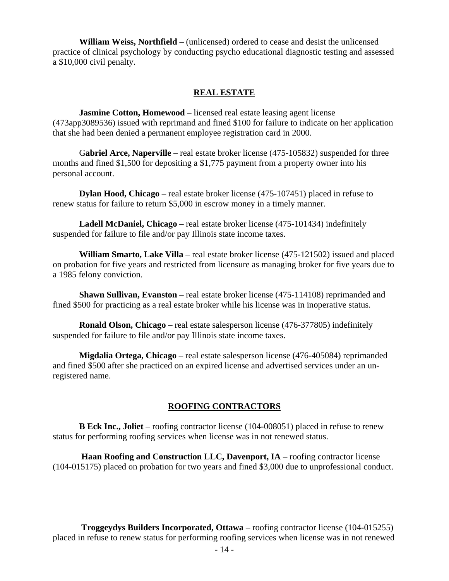**William Weiss, Northfield** – (unlicensed) ordered to cease and desist the unlicensed practice of clinical psychology by conducting psycho educational diagnostic testing and assessed a \$10,000 civil penalty.

#### **REAL ESTATE**

**Jasmine Cotton, Homewood** – licensed real estate leasing agent license (473app3089536) issued with reprimand and fined \$100 for failure to indicate on her application that she had been denied a permanent employee registration card in 2000.

 G**abriel Arce, Naperville** – real estate broker license (475-105832) suspended for three months and fined \$1,500 for depositing a \$1,775 payment from a property owner into his personal account.

 **Dylan Hood, Chicago** – real estate broker license (475-107451) placed in refuse to renew status for failure to return \$5,000 in escrow money in a timely manner.

 **Ladell McDaniel, Chicago** – real estate broker license (475-101434) indefinitely suspended for failure to file and/or pay Illinois state income taxes.

 **William Smarto, Lake Villa** – real estate broker license (475-121502) issued and placed on probation for five years and restricted from licensure as managing broker for five years due to a 1985 felony conviction.

 **Shawn Sullivan, Evanston** – real estate broker license (475-114108) reprimanded and fined \$500 for practicing as a real estate broker while his license was in inoperative status.

 **Ronald Olson, Chicago** – real estate salesperson license (476-377805) indefinitely suspended for failure to file and/or pay Illinois state income taxes.

 **Migdalia Ortega, Chicago** – real estate salesperson license (476-405084) reprimanded and fined \$500 after she practiced on an expired license and advertised services under an unregistered name.

#### **ROOFING CONTRACTORS**

 **B Eck Inc., Joliet** – roofing contractor license (104-008051) placed in refuse to renew status for performing roofing services when license was in not renewed status.

 **Haan Roofing and Construction LLC, Davenport, IA** – roofing contractor license (104-015175) placed on probation for two years and fined \$3,000 due to unprofessional conduct.

 **Troggeydys Builders Incorporated, Ottawa** – roofing contractor license (104-015255) placed in refuse to renew status for performing roofing services when license was in not renewed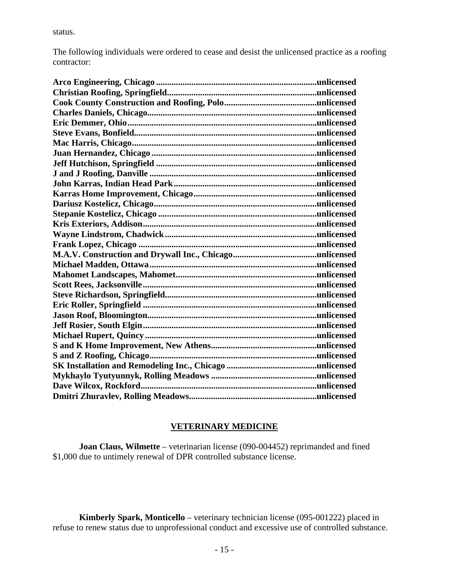status.

The following individuals were ordered to cease and desist the unlicensed practice as a roofing contractor:

#### **VETERINARY MEDICINE**

 **Joan Claus, Wilmette** – veterinarian license (090-004452) reprimanded and fined \$1,000 due to untimely renewal of DPR controlled substance license.

 **Kimberly Spark, Monticello** – veterinary technician license (095-001222) placed in refuse to renew status due to unprofessional conduct and excessive use of controlled substance.